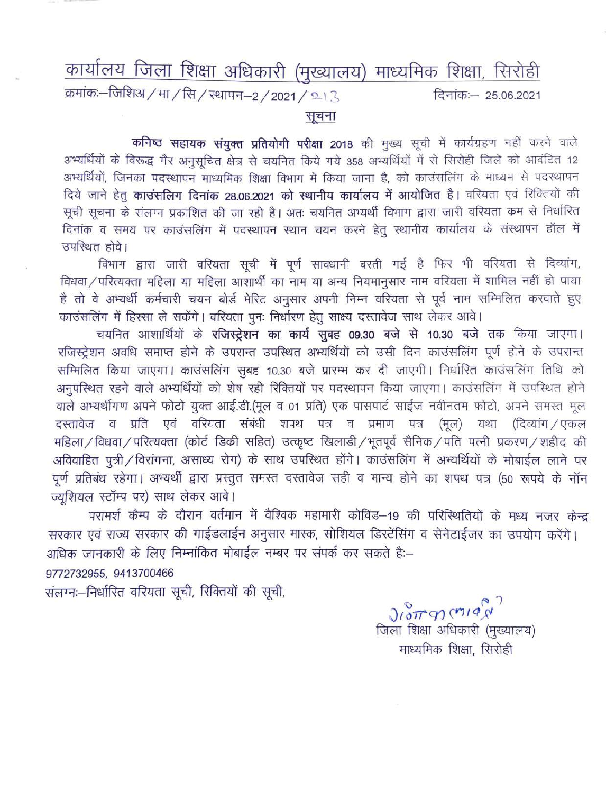## कार्यालय जिला शिक्षा अधिकारी (मुख्यालय) माध्यमिक शिक्षा, सिरोही

क्रमांकः-जिशिअ / मा / सि / स्थापन-2 / 2021 / 213 दिनांकः- 25.06.2021

## सूचना

कनिष्ठ सहायक संयुक्त प्रतियोगी परीक्षा 2018 की मुख्य सूची में कार्यग्रहण नहीं करने वाले अभ्यर्थियों के विरूद्ध गैर अनुसूचित क्षेत्र से चयनित किये गये 358 अभ्यर्थियों में से सिरोही जिले को आवंटित 12 अभ्यर्थियों, जिनका पदस्थापन माध्यमिक शिक्षा विभाग में किया जाना है, को काउंसलिंग के माध्यम से पदस्थापन दिये जाने हेतु काउंसलिग दिनांक 28.06.2021 को स्थानीय कार्यालय में आयोजित है। वरियता एवं रिक्तियों की सूची सूचना के संलग्न प्रकाशित की जा रही है। अतः चयनित अभ्यर्थी विभाग द्वारा जारी वरियता कम से निर्धारित दिनांक व समय पर काउंसलिंग में पदस्थापन स्थान चयन करने हेतू स्थानीय कार्यालय के संस्थापन हॉल में उपस्थित होवे।

विभाग द्वारा जारी वरियता सूची में पूर्ण सावधानी बरती गई है फिर भी वरियता से दिव्यांग, विधवा / परित्यक्ता महिला या महिला आशार्थी का नाम या अन्य नियमानुसार नाम वरियता में शामिल नहीं हो पाया है तो वे अभ्यर्थी कर्मचारी चयन बोर्ड मेरिट अनुसार अपनी निम्न वरियता से पूर्व नाम सम्मिलित करवाते हुए काउंसलिंग में हिस्सा ले सकेंगे। वरियता पुनः निर्धारण हेतू साक्ष्य दस्तावेज साथ लेकर आवे।

चयनित आशार्थियों के रजिस्ट्रेशन का कार्य सुबह 09.30 बजे से 10.30 बजे तक किया जाएगा। रजिस्ट्रेशन अवधि समाप्त होने के उपरान्त उपस्थित अभ्यर्थियों को उसी दिन काउंसलिंग पूर्ण होने के उपरान्त सम्मिलित किया जाएगा। काउंसलिंग सुबह 10.30 बजे प्रारम्भ कर दी जाएगी। निर्धारित काउंसलिंग तिथि को अनुपस्थित रहने वाले अभ्यर्थियों को शेष रही रिक्तियों पर पदस्थापन किया जाएगा। काउंसलिंग में उपस्थित होने वाले अभ्यर्थीगण अपने फोटो युक्त आई.डी.(मूल व 01 प्रति) एक पासपार्ट साईज नवीनतम फोटो, अपने समस्त मूल दस्तावेज व प्रति एवं वरियता संबंधी शपथ पत्र व प्रमाण पत्र (मूल) यथा (दिव्यांग / एकल महिला / विधवा / परित्यक्ता (कोर्ट डिक्री सहित) उत्कृष्ट खिलाडी / भूतपूर्व सैनिक / पति पत्नी प्रकरण / शहीद की अविवाहित पूत्री / विरांगना, असाध्य रोग) के साथ उपस्थित होंगे। काउंसलिंग में अभ्यर्थियों के मोबाईल लाने पर पूर्ण प्रतिबंध रहेगा। अभ्यर्थी द्वारा प्रस्तुत समस्त दस्तावेज सही व मान्य होने का शपथ पत्र (50 रूपये के नॉन ज्यशियल स्टॉम्प पर) साथ लेकर आवे।

परामर्श कैम्प के दौरान वर्तमान में वैश्विक महामारी कोविड–19 की परिस्थितियों के मध्य नजर केन्द्र सरकार एवं राज्य सरकार की गाईडलाईन अनुसार मास्क, सोशियल डिस्टेंसिंग व सेनेटाईजर का उपयोग करेंगे। अधिक जानकारी के लिए निम्नांकित मोबाईल नम्बर पर संपर्क कर सकते है:--

9772732955, 9413700466

संलग्नः-निर्धारित वरियता सूची, रिक्तियों की सूची,

 $J\wr^{\circ}_{\circ}$ ulay जिला शिक्षा अधिकारी (मुख्यालय) माध्यमिक शिक्षा, सिरोही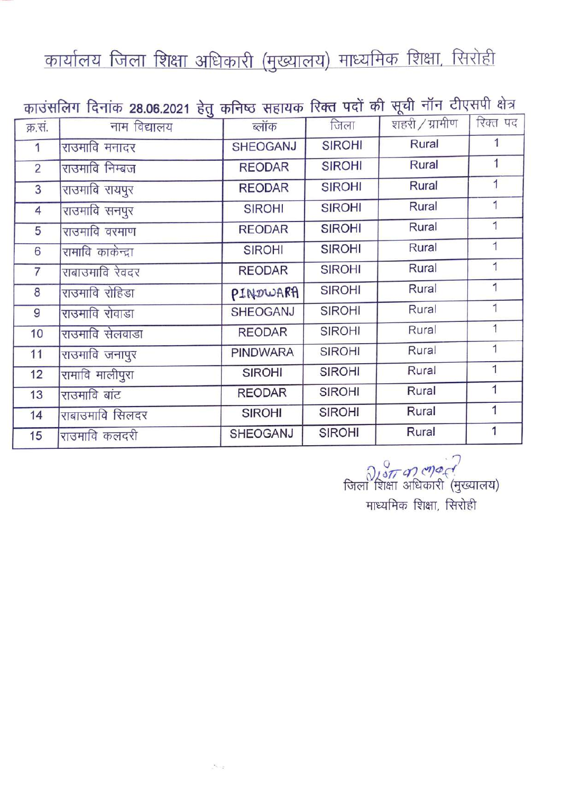## कार्यालय जिला शिक्षा अधिकारी (मुख्यालय) माध्यमिक शिक्षा, सिरोही

| काउंसलिग दिनांक 28.06.2021 हेतु कनिष्ठ सहायक रिक्त पदों की सूची नॉन टीएसपी क्षेत्र |                   |                 |               |                |                |  |  |  |  |
|------------------------------------------------------------------------------------|-------------------|-----------------|---------------|----------------|----------------|--|--|--|--|
| क्र.सं.                                                                            | नाम विद्यालय      | ब्लॉक           | जिला          | शहरी / ग्रामीण | रिक्त पद       |  |  |  |  |
| 1                                                                                  | राउमावि मनादर     | <b>SHEOGANJ</b> | <b>SIROHI</b> | Rural          | 1              |  |  |  |  |
| $\overline{2}$                                                                     | राउमावि निम्बज    | <b>REODAR</b>   | <b>SIROHI</b> | Rural          | 1              |  |  |  |  |
| $\overline{3}$                                                                     | राउमावि रायपूर    | <b>REODAR</b>   | <b>SIROHI</b> | Rural          | 1              |  |  |  |  |
| $\overline{4}$                                                                     | राउमावि सनपुर     | <b>SIROHI</b>   | <b>SIROHI</b> | Rural          | 1              |  |  |  |  |
| 5                                                                                  | राउमावि वरमाण     | <b>REODAR</b>   | <b>SIROHI</b> | Rural          | 1              |  |  |  |  |
| 6                                                                                  | रामावि काकेन्द्रा | <b>SIROHI</b>   | <b>SIROHI</b> | Rural          | 1              |  |  |  |  |
| $\overline{7}$                                                                     | राबाउमावि रेवदर   | <b>REODAR</b>   | <b>SIROHI</b> | Rural          | 1              |  |  |  |  |
| 8                                                                                  | राउमावि रोहिडा    | PINDWARA        | <b>SIROHI</b> | Rural          | 1              |  |  |  |  |
| 9                                                                                  | राउमावि रोवाडा    | <b>SHEOGANJ</b> | <b>SIROHI</b> | Rural          | 1              |  |  |  |  |
| 10                                                                                 | राउमावि सेलवाडा   | <b>REODAR</b>   | <b>SIROHI</b> | Rural          | 1              |  |  |  |  |
| 11                                                                                 | राउमावि जनापुर    | <b>PINDWARA</b> | <b>SIROHI</b> | Rural          | $\overline{1}$ |  |  |  |  |
| 12                                                                                 | रामावि मालीपुरा   | <b>SIROHI</b>   | <b>SIROHI</b> | Rural          | $\overline{1}$ |  |  |  |  |
| 13                                                                                 | राउमावि बांट      | <b>REODAR</b>   | <b>SIROHI</b> | Rural          | $\mathbf{1}$   |  |  |  |  |
| 14                                                                                 | राबाउमावि सिलदर   | <b>SIROHI</b>   | <b>SIROHI</b> | Rural          | 1              |  |  |  |  |
| 15                                                                                 | राउमावि कलदरी     | <b>SHEOGANJ</b> | <b>SIROHI</b> | Rural          |                |  |  |  |  |

्<br>जिला शिक्षा अधिकारी (मुख्यालय)<br>जिला शिक्षा अधिकारी (मुख्यालय) माध्यमिक शिक्षा, सिरोही